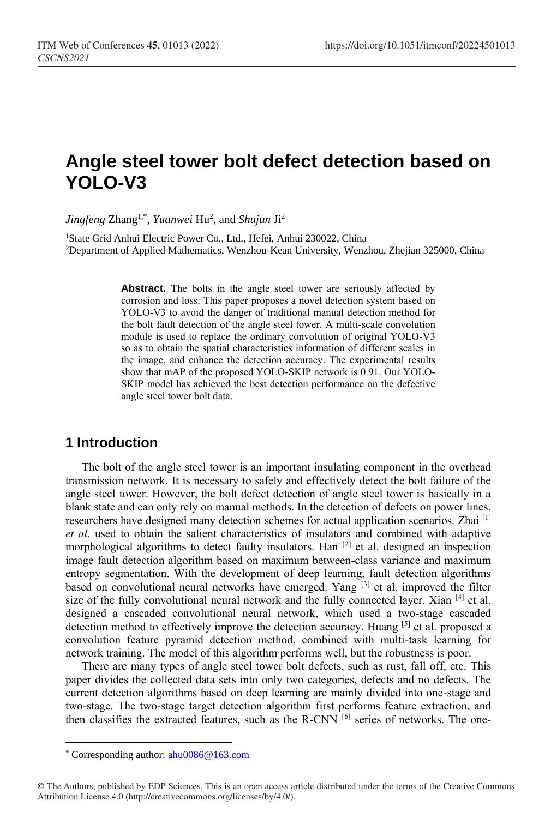# **Angle steel tower bolt defect detection based on YOLO-V3**

*Jingfeng* Zhang1,\* , *Yuanwei* Hu<sup>2</sup> , and *Shujun* Ji<sup>2</sup>

<sup>1</sup>State Grid Anhui Electric Power Co., Ltd., Hefei, Anhui 230022, China <sup>2</sup>Department of Applied Mathematics, Wenzhou-Kean University, Wenzhou, Zhejian 325000, China

> Abstract. The bolts in the angle steel tower are seriously affected by corrosion and loss. This paper proposes a novel detection system based on YOLO-V3 to avoid the danger of traditional manual detection method for the bolt fault detection of the angle steel tower. A multi-scale convolution module is used to replace the ordinary convolution of original YOLO-V3 so as to obtain the spatial characteristics information of different scales in the image, and enhance the detection accuracy. The experimental results show that mAP of the proposed YOLO-SKIP network is 0.91. Our YOLO-SKIP model has achieved the best detection performance on the defective angle steel tower bolt data.

## **1 Introduction**

The bolt of the angle steel tower is an important insulating component in the overhead transmission network. It is necessary to safely and effectively detect the bolt failure of the angle steel tower. However, the bolt defect detection of angle steel tower is basically in a blank state and can only rely on manual methods. In the detection of defects on power lines, researchers have designed many detection schemes for actual application scenarios. Zhai [1] *et al*. used to obtain the salient characteristics of insulators and combined with adaptive morphological algorithms to detect faulty insulators. Han <sup>[2]</sup> et al. designed an inspection image fault detection algorithm based on maximum between-class variance and maximum entropy segmentation. With the development of deep learning, fault detection algorithms based on convolutional neural networks have emerged. Yang <sup>[3]</sup> et al. improved the filter size of the fully convolutional neural network and the fully connected layer. Xian [4] et al. designed a cascaded convolutional neural network, which used a two-stage cascaded detection method to effectively improve the detection accuracy. Huang [5] et al. proposed a convolution feature pyramid detection method, combined with multi-task learning for network training. The model of this algorithm performs well, but the robustness is poor.

There are many types of angle steel tower bolt defects, such as rust, fall off, etc. This paper divides the collected data sets into only two categories, defects and no defects. The current detection algorithms based on deep learning are mainly divided into one-stage and two-stage. The two-stage target detection algorithm first performs feature extraction, and then classifies the extracted features, such as the R-CNN [6] series of networks. The one-

 $\overline{a}$ 

<sup>\*</sup> Corresponding author: [ahu0086@163.com](mailto:ahu0086@163.com)

<sup>©</sup> The Authors, published by EDP Sciences. This is an open access article distributed under the terms of the Creative Commons Attribution License 4.0 (http://creativecommons.org/licenses/by/4.0/).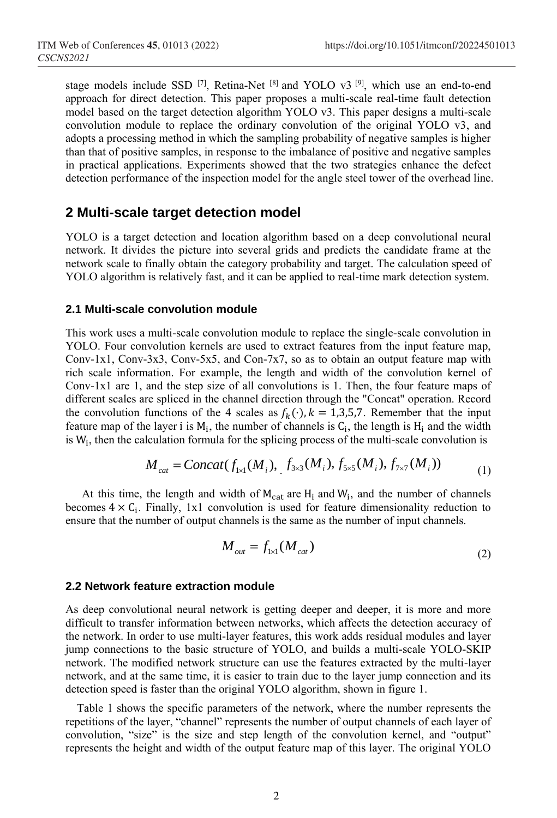stage models include SSD  $[7]$ , Retina-Net  $[8]$  and YOLO v3  $[9]$ , which use an end-to-end approach for direct detection. This paper proposes a multi-scale real-time fault detection model based on the target detection algorithm YOLO v3. This paper designs a multi-scale convolution module to replace the ordinary convolution of the original YOLO v3, and adopts a processing method in which the sampling probability of negative samples is higher than that of positive samples, in response to the imbalance of positive and negative samples in practical applications. Experiments showed that the two strategies enhance the defect detection performance of the inspection model for the angle steel tower of the overhead line.

## **2 Multi-scale target detection model**

YOLO is a target detection and location algorithm based on a deep convolutional neural network. It divides the picture into several grids and predicts the candidate frame at the network scale to finally obtain the category probability and target. The calculation speed of YOLO algorithm is relatively fast, and it can be applied to real-time mark detection system.

### **2.1 Multi-scale convolution module**

This work uses a multi-scale convolution module to replace the single-scale convolution in YOLO. Four convolution kernels are used to extract features from the input feature map, Conv-1x1, Conv-3x3, Conv-5x5, and Con-7x7, so as to obtain an output feature map with rich scale information. For example, the length and width of the convolution kernel of Conv-1x1 are 1, and the step size of all convolutions is 1. Then, the four feature maps of different scales are spliced in the channel direction through the "Concat" operation. Record the convolution functions of the 4 scales as  $f_k(\cdot)$ ,  $k = 1,3,5,7$ . Remember that the input feature map of the layer i is  $M_i$ , the number of channels is  $C_i$ , the length is  $H_i$  and the width reature map of the layer I is  $M_i$ , the number of channels is  $C_i$ , the length is  $H_i$  and the width is  $W_i$ , then the calculation formula for the splicing process of the multi-scale convolution is

$$
M_{cat} = Concat(f_{1\times 1}(M_i), f_{3\times 3}(M_i), f_{5\times 5}(M_i), f_{7\times 7}(M_i))
$$
 (1)

At this time, the length and width of  $M_{cat}$  are  $H_i$  and  $W_i$ , and the number of channels becomes  $4 \times C_i$ . Finally, 1x1 convolution is used for feature dimensionality reduction to ensure that the number of output channels is the same as the number of input channels.

$$
M_{out} = f_{1\times1}(M_{cat})
$$
 (2)

### **2.2 Network feature extraction module**

As deep convolutional neural network is getting deeper and deeper, it is more and more difficult to transfer information between networks, which affects the detection accuracy of the network. In order to use multi-layer features, this work adds residual modules and layer jump connections to the basic structure of YOLO, and builds a multi-scale YOLO-SKIP network. The modified network structure can use the features extracted by the multi-layer network, and at the same time, it is easier to train due to the layer jump connection and its detection speed is faster than the original YOLO algorithm, shown in figure 1.

Table 1 shows the specific parameters of the network, where the number represents the repetitions of the layer, "channel" represents the number of output channels of each layer of convolution, "size" is the size and step length of the convolution kernel, and "output" represents the height and width of the output feature map of this layer. The original YOLO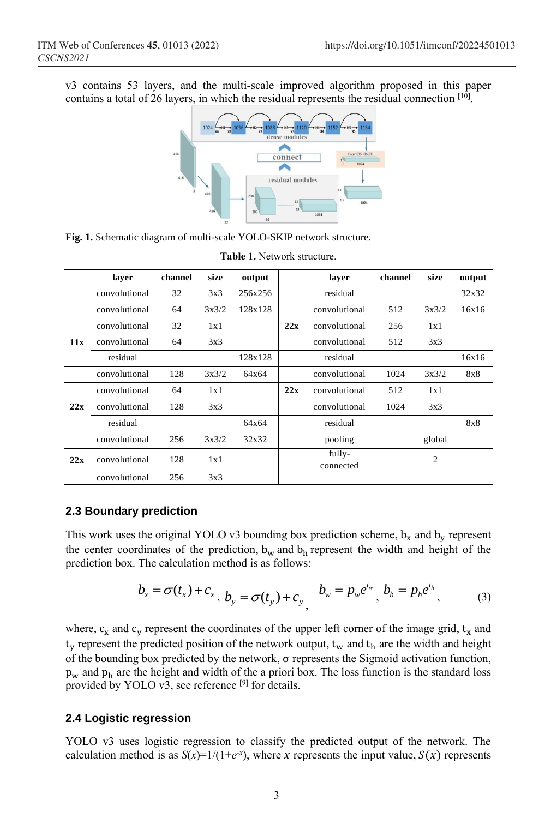v3 contains 53 layers, and the multi-scale improved algorithm proposed in this paper contains a total of 26 layers, in which the residual represents the residual connection [10].



**Fig. 1.** Schematic diagram of multi-scale YOLO-SKIP network structure.

|     | laver         | channel | size  | output  |     | laver               | channel | size   | output |
|-----|---------------|---------|-------|---------|-----|---------------------|---------|--------|--------|
|     | convolutional | 32      | 3x3   | 256x256 |     | residual            |         |        | 32x32  |
|     | convolutional | 64      | 3x3/2 | 128x128 |     | convolutional       | 512     | 3x3/2  | 16x16  |
|     | convolutional | 32      | 1x1   |         | 22x | convolutional       | 256     | 1x1    |        |
| 11x | convolutional | 64      | 3x3   |         |     | convolutional       | 512     | 3x3    |        |
|     | residual      |         |       | 128x128 |     | residual            |         |        | 16x16  |
|     | convolutional | 128     | 3x3/2 | 64x64   |     | convolutional       | 1024    | 3x3/2  | 8x8    |
|     | convolutional | 64      | 1x1   |         | 22x | convolutional       | 512     | 1x1    |        |
| 22x | convolutional | 128     | 3x3   |         |     | convolutional       | 1024    | 3x3    |        |
|     | residual      |         |       | 64x64   |     | residual            |         |        | 8x8    |
|     | convolutional | 256     | 3x3/2 | 32x32   |     | pooling             |         | global |        |
| 22x | convolutional | 128     | 1x1   |         |     | fully-<br>connected |         | 2      |        |
|     | convolutional | 256     | 3x3   |         |     |                     |         |        |        |

#### **Table 1.** Network structure.

### **2.3 Boundary prediction**

This work uses the original YOLO v3 bounding box prediction scheme,  $b_x$  and  $b_y$  represent the center coordinates of the prediction,  $b_w$  and  $b_h$  represent the width and height of the prediction box. The calculation method is as follows:

$$
b_x = \sigma(t_x) + c_x, \ b_y = \sigma(t_y) + c_y, \quad b_w = p_w e^{t_w}, \ b_h = p_h e^{t_h}, \tag{3}
$$

where,  $c_x$  and  $c_y$  represent the coordinates of the upper left corner of the image grid,  $t_x$  and  $t_y$  represent the predicted position of the network output,  $t_w$  and  $t_h$  are the width and height of the bounding box predicted by the network, σ represents the Sigmoid activation function,  $p_w$  and  $p_h$  are the height and width of the a priori box. The loss function is the standard loss provided by YOLO v3, see reference  $[9]$  for details.

### **2.4 Logistic regression**

YOLO v3 uses logistic regression to classify the predicted output of the network. The calculation method is as  $S(x)=1/(1+e^{-x})$ , where x represents the input value,  $S(x)$  represents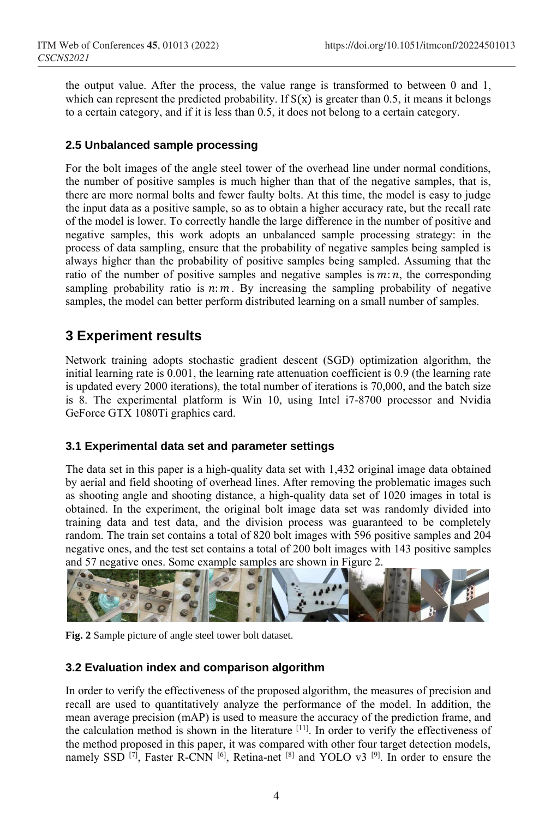the output value. After the process, the value range is transformed to between 0 and 1, which can represent the predicted probability. If  $S(x)$  is greater than 0.5, it means it belongs to a certain category, and if it is less than 0.5, it does not belong to a certain category.

### **2.5 Unbalanced sample processing**

For the bolt images of the angle steel tower of the overhead line under normal conditions, the number of positive samples is much higher than that of the negative samples, that is, there are more normal bolts and fewer faulty bolts. At this time, the model is easy to judge the input data as a positive sample, so as to obtain a higher accuracy rate, but the recall rate of the model is lower. To correctly handle the large difference in the number of positive and negative samples, this work adopts an unbalanced sample processing strategy: in the process of data sampling, ensure that the probability of negative samples being sampled is always higher than the probability of positive samples being sampled. Assuming that the ratio of the number of positive samples and negative samples is  $m:n$ , the corresponding sampling probability ratio is  $n: m$ . By increasing the sampling probability of negative samples, the model can better perform distributed learning on a small number of samples.

# **3 Experiment results**

Network training adopts stochastic gradient descent (SGD) optimization algorithm, the initial learning rate is 0.001, the learning rate attenuation coefficient is 0.9 (the learning rate is updated every 2000 iterations), the total number of iterations is 70,000, and the batch size is 8. The experimental platform is Win 10, using Intel i7-8700 processor and Nvidia GeForce GTX 1080Ti graphics card.

### **3.1 Experimental data set and parameter settings**

The data set in this paper is a high-quality data set with 1,432 original image data obtained by aerial and field shooting of overhead lines. After removing the problematic images such as shooting angle and shooting distance, a high-quality data set of 1020 images in total is obtained. In the experiment, the original bolt image data set was randomly divided into training data and test data, and the division process was guaranteed to be completely random. The train set contains a total of 820 bolt images with 596 positive samples and 204 negative ones, and the test set contains a total of 200 bolt images with 143 positive samples and 57 negative ones. Some example samples are shown in Figure 2.



**Fig. 2** Sample picture of angle steel tower bolt dataset.

### **3.2 Evaluation index and comparison algorithm**

In order to verify the effectiveness of the proposed algorithm, the measures of precision and recall are used to quantitatively analyze the performance of the model. In addition, the mean average precision (mAP) is used to measure the accuracy of the prediction frame, and the calculation method is shown in the literature  $[11]$ . In order to verify the effectiveness of the method proposed in this paper, it was compared with other four target detection models, namely SSD  $^{[7]}$ , Faster R-CNN  $^{[6]}$ , Retina-net  $^{[8]}$  and YOLO v3  $^{[9]}$ . In order to ensure the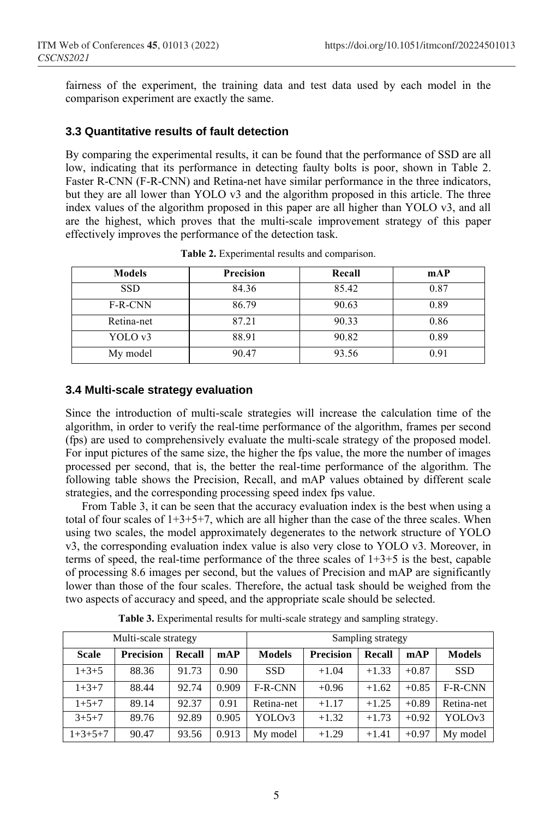fairness of the experiment, the training data and test data used by each model in the comparison experiment are exactly the same.

### **3.3 Quantitative results of fault detection**

By comparing the experimental results, it can be found that the performance of SSD are all low, indicating that its performance in detecting faulty bolts is poor, shown in Table 2. Faster R-CNN (F-R-CNN) and Retina-net have similar performance in the three indicators, but they are all lower than YOLO v3 and the algorithm proposed in this article. The three index values of the algorithm proposed in this paper are all higher than YOLO v3, and all are the highest, which proves that the multi-scale improvement strategy of this paper effectively improves the performance of the detection task.

| <b>Models</b> | <b>Precision</b> | Recall | mAP  |
|---------------|------------------|--------|------|
| <b>SSD</b>    | 84.36            | 85.42  | 0.87 |
| F-R-CNN       | 86.79            | 90.63  | 0.89 |
| Retina-net    | 87.21            | 90.33  | 0.86 |
| YOLO v3       | 88.91            | 90.82  | 0.89 |
| My model      | 90.47            | 93.56  | 0.91 |

**Table 2.** Experimental results and comparison.

### **3.4 Multi-scale strategy evaluation**

Since the introduction of multi-scale strategies will increase the calculation time of the algorithm, in order to verify the real-time performance of the algorithm, frames per second (fps) are used to comprehensively evaluate the multi-scale strategy of the proposed model. For input pictures of the same size, the higher the fps value, the more the number of images processed per second, that is, the better the real-time performance of the algorithm. The following table shows the Precision, Recall, and mAP values obtained by different scale strategies, and the corresponding processing speed index fps value.

From Table 3, it can be seen that the accuracy evaluation index is the best when using a total of four scales of  $1+3+5+7$ , which are all higher than the case of the three scales. When using two scales, the model approximately degenerates to the network structure of YOLO v3, the corresponding evaluation index value is also very close to YOLO v3. Moreover, in terms of speed, the real-time performance of the three scales of 1+3+5 is the best, capable of processing 8.6 images per second, but the values of Precision and mAP are significantly lower than those of the four scales. Therefore, the actual task should be weighed from the two aspects of accuracy and speed, and the appropriate scale should be selected.

| Multi-scale strategy |                  |               |       | Sampling strategy |                  |         |         |               |  |
|----------------------|------------------|---------------|-------|-------------------|------------------|---------|---------|---------------|--|
| <b>Scale</b>         | <b>Precision</b> | <b>Recall</b> | mAP   | <b>Models</b>     | <b>Precision</b> | Recall  | mAP     | <b>Models</b> |  |
| $1+3+5$              | 88.36            | 91.73         | 0.90  | <b>SSD</b>        | $+1.04$          | $+1.33$ | $+0.87$ | <b>SSD</b>    |  |
| $1+3+7$              | 88.44            | 92.74         | 0.909 | F-R-CNN           | $+0.96$          | $+1.62$ | $+0.85$ | $F-R-CNN$     |  |
| $1+5+7$              | 89.14            | 92.37         | 0.91  | Retina-net        | $+1.17$          | $+1.25$ | $+0.89$ | Retina-net    |  |
| $3 + 5 + 7$          | 89.76            | 92.89         | 0.905 | YOLOv3            | $+1.32$          | $+1.73$ | $+0.92$ | YOLOv3        |  |
| $1+3+5+7$            | 90.47            | 93.56         | 0.913 | My model          | $+1.29$          | $+1.41$ | $+0.97$ | My model      |  |

**Table 3.** Experimental results for multi-scale strategy and sampling strategy.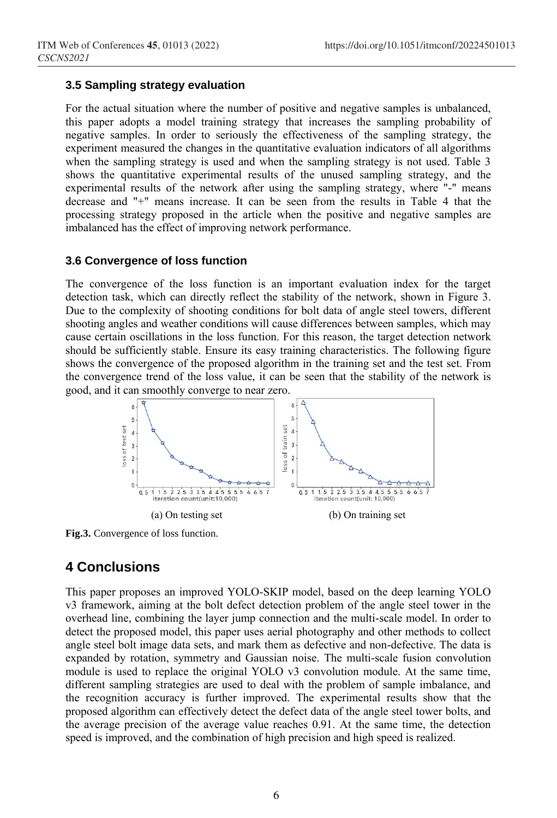### **3.5 Sampling strategy evaluation**

For the actual situation where the number of positive and negative samples is unbalanced, this paper adopts a model training strategy that increases the sampling probability of negative samples. In order to seriously the effectiveness of the sampling strategy, the experiment measured the changes in the quantitative evaluation indicators of all algorithms when the sampling strategy is used and when the sampling strategy is not used. Table 3 shows the quantitative experimental results of the unused sampling strategy, and the experimental results of the network after using the sampling strategy, where "-" means decrease and "+" means increase. It can be seen from the results in Table 4 that the processing strategy proposed in the article when the positive and negative samples are imbalanced has the effect of improving network performance.

### **3.6 Convergence of loss function**

The convergence of the loss function is an important evaluation index for the target detection task, which can directly reflect the stability of the network, shown in Figure 3. Due to the complexity of shooting conditions for bolt data of angle steel towers, different shooting angles and weather conditions will cause differences between samples, which may cause certain oscillations in the loss function. For this reason, the target detection network should be sufficiently stable. Ensure its easy training characteristics. The following figure shows the convergence of the proposed algorithm in the training set and the test set. From the convergence trend of the loss value, it can be seen that the stability of the network is good, and it can smoothly converge to near zero.



**Fig.3.** Convergence of loss function.

# **4 Conclusions**

This paper proposes an improved YOLO-SKIP model, based on the deep learning YOLO v3 framework, aiming at the bolt defect detection problem of the angle steel tower in the overhead line, combining the layer jump connection and the multi-scale model. In order to detect the proposed model, this paper uses aerial photography and other methods to collect angle steel bolt image data sets, and mark them as defective and non-defective. The data is expanded by rotation, symmetry and Gaussian noise. The multi-scale fusion convolution module is used to replace the original YOLO v3 convolution module. At the same time, different sampling strategies are used to deal with the problem of sample imbalance, and the recognition accuracy is further improved. The experimental results show that the proposed algorithm can effectively detect the defect data of the angle steel tower bolts, and the average precision of the average value reaches 0.91. At the same time, the detection speed is improved, and the combination of high precision and high speed is realized.